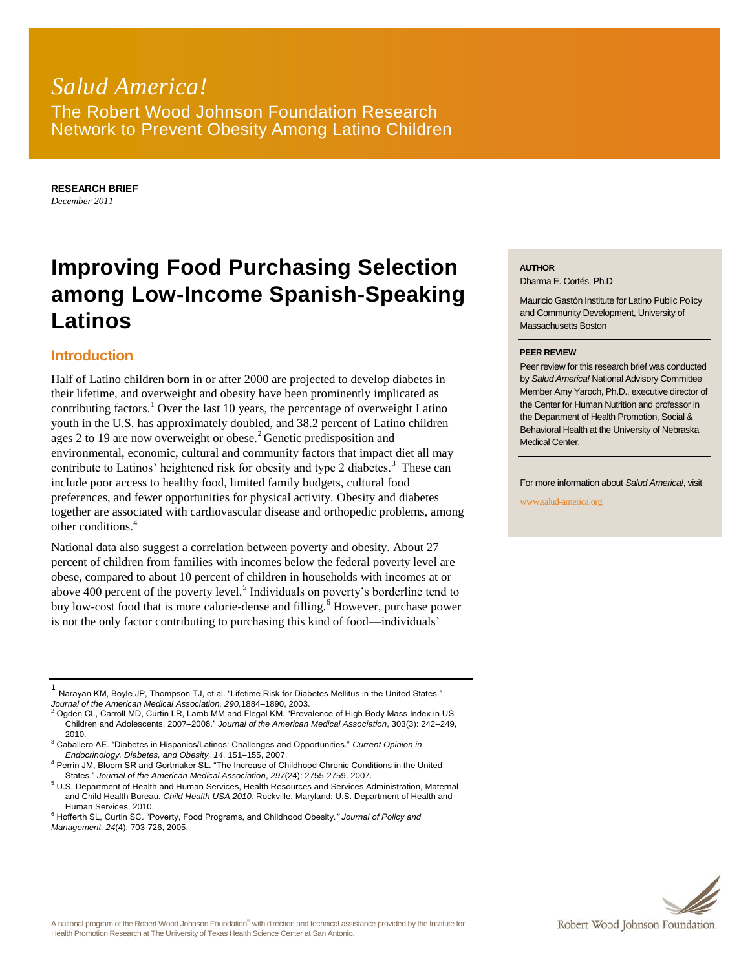## *Salud America!* The Robert Wood Johnson Foundation Research Network to Prevent Obesity Among Latino Children

**RESEARCH BRIEF** *December 2011*

# **Improving Food Purchasing Selection among Low-Income Spanish-Speaking Latinos**

### **Introduction**

Half of Latino children born in or after 2000 are projected to develop diabetes in their lifetime, and overweight and obesity have been prominently implicated as contributing factors.<sup>1</sup> Over the last 10 years, the percentage of overweight Latino youth in the U.S. has approximately doubled, and 38.2 percent of Latino children ages 2 to 19 are now overweight or obese.<sup>2</sup> Genetic predisposition and environmental, economic, cultural and community factors that impact diet all may contribute to Latinos' heightened risk for obesity and type 2 diabetes.<sup>3</sup> These can include poor access to healthy food, limited family budgets, cultural food preferences, and fewer opportunities for physical activity. Obesity and diabetes together are associated with cardiovascular disease and orthopedic problems, among other conditions.<sup>4</sup>

National data also suggest a correlation between poverty and obesity. About 27 percent of children from families with incomes below the federal poverty level are obese, compared to about 10 percent of children in households with incomes at or above 400 percent of the poverty level.<sup>5</sup> Individuals on poverty's borderline tend to buy low-cost food that is more calorie-dense and filling.<sup>6</sup> However, purchase power is not the only factor contributing to purchasing this kind of food—individuals'

#### **AUTHOR**

Dharma E. Cortés, Ph.D

Mauricio Gastón Institute for Latino Public Policy and Community Development, University of Massachusetts Boston

#### **PEER REVIEW**

Peer review for this research brief was conducted by *Salud America!* National Advisory Committee Member Amy Yaroch, Ph.D., executive director of the Center for Human Nutrition and professor in the Department of Health Promotion, Social & Behavioral Health at the University of Nebraska Medical Center.

For more information about *Salud America!*, visit

www.salud-america.org



<sup>1</sup> Narayan KM, Boyle JP, Thompson TJ, et al. "Lifetime Risk for Diabetes Mellitus in the United States."

*Journal of the American Medical Association, 290,*1884–1890, 2003. <sup>2</sup> Ogden CL, Carroll MD, Curtin LR, Lamb MM and Flegal KM. "Prevalence of High Body Mass Index in US Children and Adolescents, 2007–2008." *Journal of the American Medical Association*, 303(3): 242–249, 2010.

<sup>3</sup> Caballero AE. "Diabetes in Hispanics/Latinos: Challenges and Opportunities." *Current Opinion in Endocrinology, Diabetes, and Obesity, 14*, 151–155, 2007.

<sup>&</sup>lt;sup>4</sup> Perrin JM, Bloom SR and Gortmaker SL. "The Increase of Childhood Chronic Conditions in the United States." *Journal of the American Medical Association*, *297*(24): 2755-2759, 2007.

<sup>5</sup> U.S. Department of Health and Human Services, Health Resources and Services Administration, Maternal and Child Health Bureau. *Child Health USA 2010.* Rockville, Maryland: U.S. Department of Health and Human Services, 2010.

<sup>6</sup> Hofferth SL, Curtin SC. "Poverty, Food Programs, and Childhood Obesity*." Journal of Policy and Management, 24*(4): 703-726, 2005.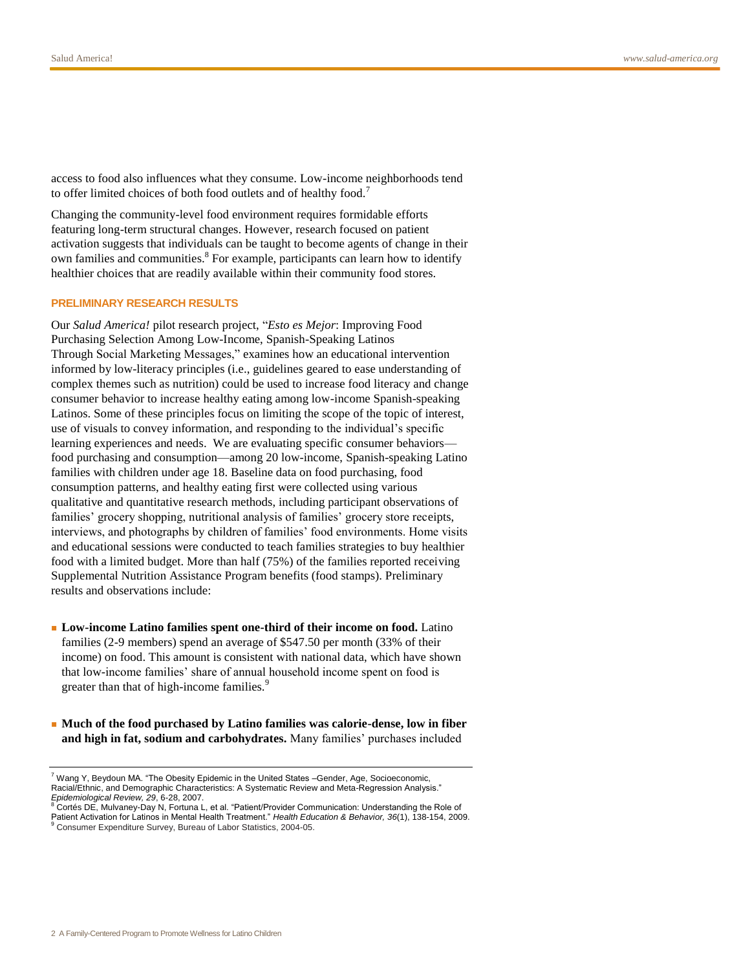access to food also influences what they consume. Low-income neighborhoods tend to offer limited choices of both food outlets and of healthy food.<sup>7</sup>

Changing the community-level food environment requires formidable efforts featuring long-term structural changes. However, research focused on patient activation suggests that individuals can be taught to become agents of change in their own families and communities.<sup>8</sup> For example, participants can learn how to identify healthier choices that are readily available within their community food stores.

#### **PRELIMINARY RESEARCH RESULTS**

Our *Salud America!* pilot research project, "*Esto es Mejor*: Improving Food Purchasing Selection Among Low-Income, Spanish-Speaking Latinos Through Social Marketing Messages," examines how an educational intervention informed by low-literacy principles (i.e., guidelines geared to ease understanding of complex themes such as nutrition) could be used to increase food literacy and change consumer behavior to increase healthy eating among low-income Spanish-speaking Latinos. Some of these principles focus on limiting the scope of the topic of interest, use of visuals to convey information, and responding to the individual's specific learning experiences and needs. We are evaluating specific consumer behaviors food purchasing and consumption—among 20 low-income, Spanish-speaking Latino families with children under age 18. Baseline data on food purchasing, food consumption patterns, and healthy eating first were collected using various qualitative and quantitative research methods, including participant observations of families' grocery shopping, nutritional analysis of families' grocery store receipts, interviews, and photographs by children of families' food environments. Home visits and educational sessions were conducted to teach families strategies to buy healthier food with a limited budget. More than half (75%) of the families reported receiving Supplemental Nutrition Assistance Program benefits (food stamps). Preliminary results and observations include:

- Low-income Latino families spent one-third of their income on food. Latino families (2-9 members) spend an average of \$547.50 per month (33% of their income) on food. This amount is consistent with national data, which have shown that low-income families' share of annual household income spent on food is greater than that of high-income families.<sup>9</sup>
- **Much of the food purchased by Latino families was calorie-dense, low in fiber and high in fat, sodium and carbohydrates.** Many families' purchases included

 $7$  Wang Y, Beydoun MA. "The Obesity Epidemic in the United States -Gender, Age, Socioeconomic, Racial/Ethnic, and Demographic Characteristics: A Systematic Review and Meta-Regression Analysis." *Epidemiological Review, 29*, 6-28, 2007.<br><sup>8</sup> Cortés DE, Mulvaney-Day N, Fortuna L, et al. "Patient/Provider Communication: Understanding the Role of

Patient Activation for Latinos in Mental Health Treatment." *Health Education & Behavior, 36*(1), 138-154, 2009. <sup>9</sup> Consumer Expenditure Survey, Bureau of Labor Statistics, 2004-05.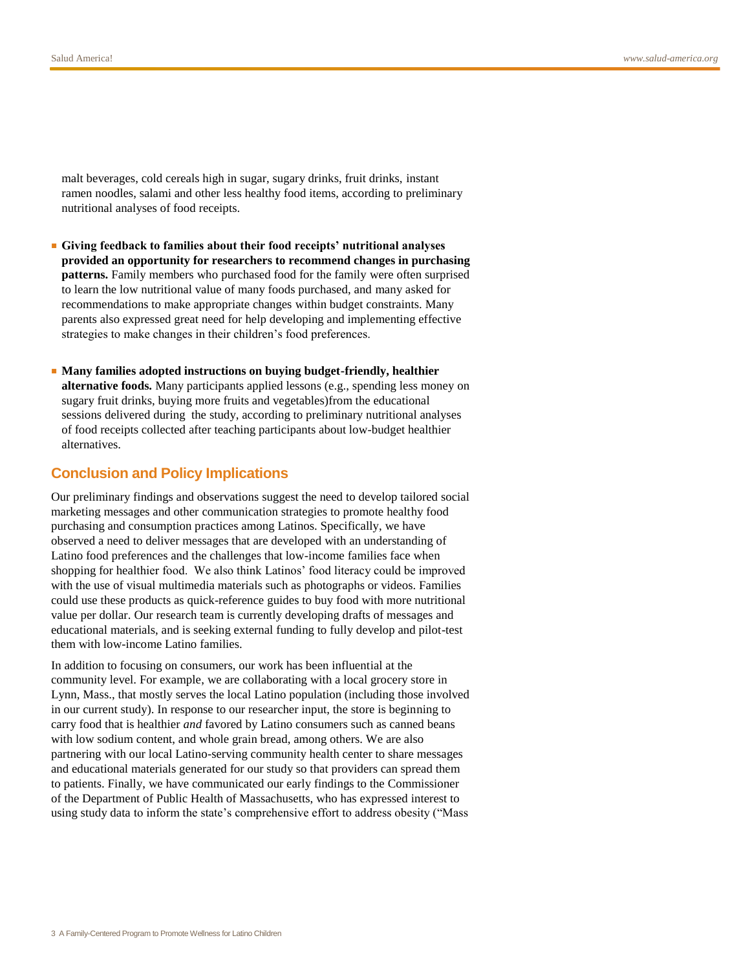malt beverages, cold cereals high in sugar, sugary drinks, fruit drinks, instant ramen noodles, salami and other less healthy food items, according to preliminary nutritional analyses of food receipts.

- **Giving feedback to families about their food receipts' nutritional analyses provided an opportunity for researchers to recommend changes in purchasing patterns.** Family members who purchased food for the family were often surprised to learn the low nutritional value of many foods purchased, and many asked for recommendations to make appropriate changes within budget constraints. Many parents also expressed great need for help developing and implementing effective strategies to make changes in their children's food preferences.
- **Many families adopted instructions on buying budget-friendly, healthier alternative foods.** Many participants applied lessons (e.g., spending less money on sugary fruit drinks, buying more fruits and vegetables)from the educational sessions delivered during the study, according to preliminary nutritional analyses of food receipts collected after teaching participants about low-budget healthier alternatives.

#### **Conclusion and Policy Implications**

Our preliminary findings and observations suggest the need to develop tailored social marketing messages and other communication strategies to promote healthy food purchasing and consumption practices among Latinos. Specifically, we have observed a need to deliver messages that are developed with an understanding of Latino food preferences and the challenges that low-income families face when shopping for healthier food. We also think Latinos' food literacy could be improved with the use of visual multimedia materials such as photographs or videos. Families could use these products as quick-reference guides to buy food with more nutritional value per dollar. Our research team is currently developing drafts of messages and educational materials, and is seeking external funding to fully develop and pilot-test them with low-income Latino families.

In addition to focusing on consumers, our work has been influential at the community level. For example, we are collaborating with a local grocery store in Lynn, Mass., that mostly serves the local Latino population (including those involved in our current study). In response to our researcher input, the store is beginning to carry food that is healthier *and* favored by Latino consumers such as canned beans with low sodium content, and whole grain bread, among others. We are also partnering with our local Latino-serving community health center to share messages and educational materials generated for our study so that providers can spread them to patients. Finally, we have communicated our early findings to the Commissioner of the Department of Public Health of Massachusetts, who has expressed interest to using study data to inform the state's comprehensive effort to address obesity ("Mass